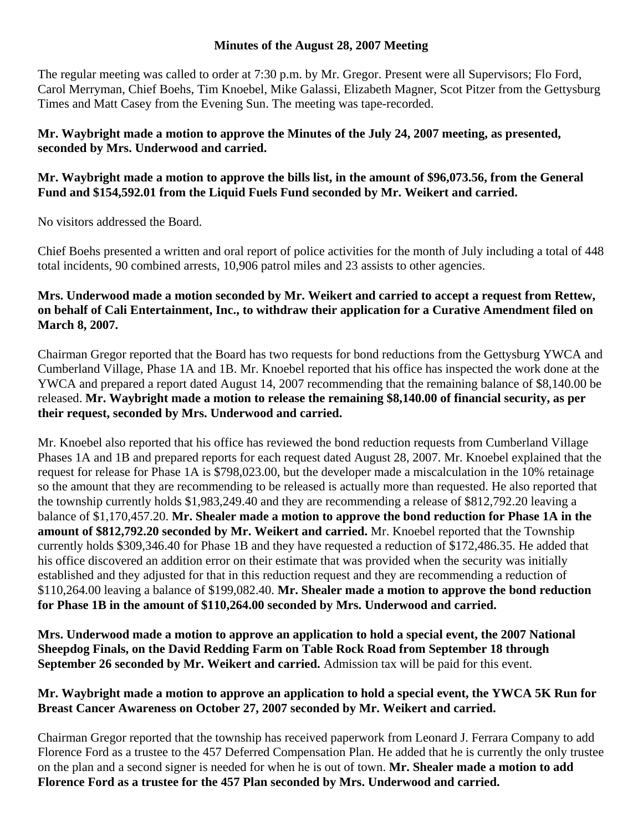### **Minutes of the August 28, 2007 Meeting**

The regular meeting was called to order at 7:30 p.m. by Mr. Gregor. Present were all Supervisors; Flo Ford, Carol Merryman, Chief Boehs, Tim Knoebel, Mike Galassi, Elizabeth Magner, Scot Pitzer from the Gettysburg Times and Matt Casey from the Evening Sun. The meeting was tape-recorded.

### **Mr. Waybright made a motion to approve the Minutes of the July 24, 2007 meeting, as presented, seconded by Mrs. Underwood and carried.**

# **Mr. Waybright made a motion to approve the bills list, in the amount of \$96,073.56, from the General Fund and \$154,592.01 from the Liquid Fuels Fund seconded by Mr. Weikert and carried.**

No visitors addressed the Board.

Chief Boehs presented a written and oral report of police activities for the month of July including a total of 448 total incidents, 90 combined arrests, 10,906 patrol miles and 23 assists to other agencies.

## **Mrs. Underwood made a motion seconded by Mr. Weikert and carried to accept a request from Rettew, on behalf of Cali Entertainment, Inc., to withdraw their application for a Curative Amendment filed on March 8, 2007.**

Chairman Gregor reported that the Board has two requests for bond reductions from the Gettysburg YWCA and Cumberland Village, Phase 1A and 1B. Mr. Knoebel reported that his office has inspected the work done at the YWCA and prepared a report dated August 14, 2007 recommending that the remaining balance of \$8,140.00 be released. **Mr. Waybright made a motion to release the remaining \$8,140.00 of financial security, as per their request, seconded by Mrs. Underwood and carried.** 

Mr. Knoebel also reported that his office has reviewed the bond reduction requests from Cumberland Village Phases 1A and 1B and prepared reports for each request dated August 28, 2007. Mr. Knoebel explained that the request for release for Phase 1A is \$798,023.00, but the developer made a miscalculation in the 10% retainage so the amount that they are recommending to be released is actually more than requested. He also reported that the township currently holds \$1,983,249.40 and they are recommending a release of \$812,792.20 leaving a balance of \$1,170,457.20. **Mr. Shealer made a motion to approve the bond reduction for Phase 1A in the amount of \$812,792.20 seconded by Mr. Weikert and carried.** Mr. Knoebel reported that the Township currently holds \$309,346.40 for Phase 1B and they have requested a reduction of \$172,486.35. He added that his office discovered an addition error on their estimate that was provided when the security was initially established and they adjusted for that in this reduction request and they are recommending a reduction of \$110,264.00 leaving a balance of \$199,082.40. **Mr. Shealer made a motion to approve the bond reduction for Phase 1B in the amount of \$110,264.00 seconded by Mrs. Underwood and carried.** 

**Mrs. Underwood made a motion to approve an application to hold a special event, the 2007 National Sheepdog Finals, on the David Redding Farm on Table Rock Road from September 18 through September 26 seconded by Mr. Weikert and carried.** Admission tax will be paid for this event.

### **Mr. Waybright made a motion to approve an application to hold a special event, the YWCA 5K Run for Breast Cancer Awareness on October 27, 2007 seconded by Mr. Weikert and carried.**

Chairman Gregor reported that the township has received paperwork from Leonard J. Ferrara Company to add Florence Ford as a trustee to the 457 Deferred Compensation Plan. He added that he is currently the only trustee on the plan and a second signer is needed for when he is out of town. **Mr. Shealer made a motion to add Florence Ford as a trustee for the 457 Plan seconded by Mrs. Underwood and carried.**